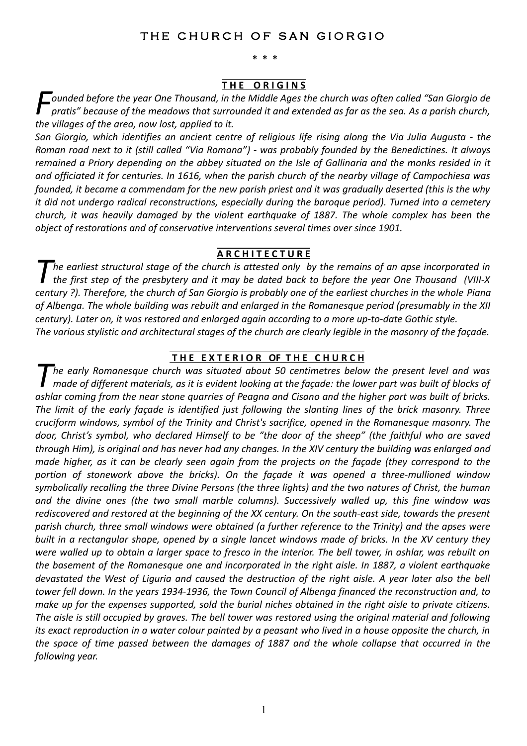## THE CHURCH OF SAN GIORGIO

**\* \* \***

#### **T H E O R I G I N S**

*ounded before the year One Thousand, in the Middle Ages the church was often called "San Giorgio de pratis" because of the meadows that surrounded it and extended as far as the sea. As a parish church, the villages of the area, now lost, applied to it. F*

*San Giorgio, which identifies an ancient centre of religious life rising along the Via Julia Augusta - the Roman road next to it (still called "Via Romana") - was probably founded by the Benedictines. It always remained a Priory depending on the abbey situated on the Isle of Gallinaria and the monks resided in it and officiated it for centuries. In 1616, when the parish church of the nearby village of Campochiesa was founded, it became a commendam for the new parish priest and it was gradually deserted (this is the why it did not undergo radical reconstructions, especially during the baroque period). Turned into a cemetery church, it was heavily damaged by the violent earthquake of 1887. The whole complex has been the object of restorations and of conservative interventions several times over since 1901.*

#### **A R C H I T E C T U R E**

*he earliest structural stage of the church is attested only by the remains of an apse incorporated in the first step of the presbytery and it may be dated back to before the year One Thousand (VIII-X century ?). Therefore, the church of San Giorgio is probably one of the earliest churches in the whole Piana of Albenga. The whole building was rebuilt and enlarged in the Romanesque period (presumably in the XII century). Later on, it was restored and enlarged again according to a more up-to-date Gothic style. T The various stylistic and architectural stages of the church are clearly legible in the masonry of the façade.*

# **T H E E X T E R I O R OF T H E C H U R C H**

*he early Romanesque church was situated about 50 centimetres below the present level and was made of different materials, as it is evident looking at the façade: the lower part was built of blocks of ashlar coming from the near stone quarries of Peagna and Cisano and the higher part was built of bricks. The limit of the early façade is identified just following the slanting lines of the brick masonry. Three cruciform windows, symbol of the Trinity and Christ's sacrifice, opened in the Romanesque masonry. The door, Christ's symbol, who declared Himself to be "the door of the sheep" (the faithful who are saved through Him), is original and has never had any changes. In the XIV century the building was enlarged and made higher, as it can be clearly seen again from the projects on the façade (they correspond to the portion of stonework above the bricks). On the façade it was opened a three-mullioned window symbolically recalling the three Divine Persons (the three lights) and the two natures of Christ, the human and the divine ones (the two small marble columns). Successively walled up, this fine window was rediscovered and restored at the beginning of the XX century. On the south-east side, towards the present parish church, three small windows were obtained (a further reference to the Trinity) and the apses were built in a rectangular shape, opened by a single lancet windows made of bricks. In the XV century they were walled up to obtain a larger space to fresco in the interior. The bell tower, in ashlar, was rebuilt on the basement of the Romanesque one and incorporated in the right aisle. In 1887, a violent earthquake devastated the West of Liguria and caused the destruction of the right aisle. A year later also the bell tower fell down. In the years 1934-1936, the Town Council of Albenga financed the reconstruction and, to make up for the expenses supported, sold the burial niches obtained in the right aisle to private citizens. The aisle is still occupied by graves. The bell tower was restored using the original material and following its exact reproduction in a water colour painted by a peasant who lived in a house opposite the church, in the space of time passed between the damages of 1887 and the whole collapse that occurred in the following year. T*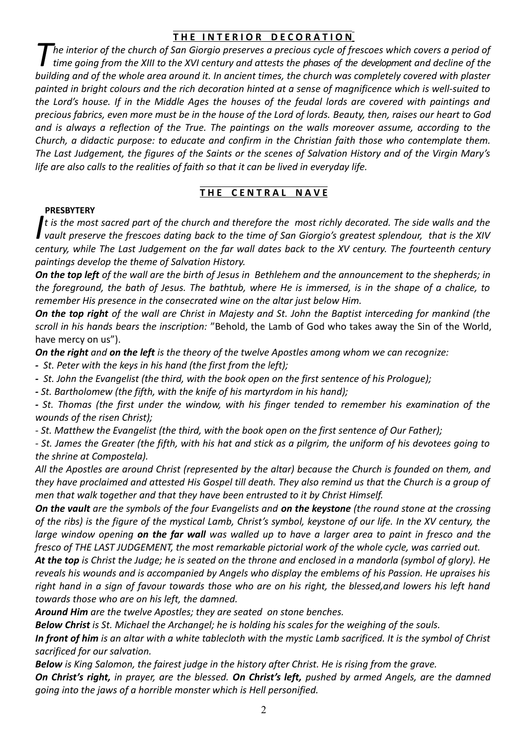### **THE INTERIOR DECORATION**

*he interior of the church of San Giorgio preserves a precious cycle of frescoes which covers a period of time going from the XIII to the XVI century and attests the phases of the development and decline of the building and of the whole area around it. In ancient times, the church was completely covered with plaster painted in bright colours and the rich decoration hinted at a sense of magnificence which is well-suited to the Lord's house. If in the Middle Ages the houses of the feudal lords are covered with paintings and precious fabrics, even more must be in the house of the Lord of lords. Beauty, then, raises our heart to God and is always a reflection of the True. The paintings on the walls moreover assume, according to the Church, a didactic purpose: to educate and confirm in the Christian faith those who contemplate them. The Last Judgement, the figures of the Saints or the scenes of Salvation History and of the Virgin Mary's life are also calls to the realities of faith so that it can be lived in everyday life. T*

## **THE CENTRAL NAVE**

#### **PRESBYTERY**

*t is the most sacred part of the church and therefore the most richly decorated. The side walls and the vault preserve the frescoes dating back to the time of San Giorgio's greatest splendour, that is the XIV century, while The Last Judgement on the far wall dates back to the XV century. The fourteenth century paintings develop the theme of Salvation History. I*

*On the top left of the wall are the birth of Jesus in Bethlehem and the announcement to the shepherds; in the foreground, the bath of Jesus. The bathtub, where He is immersed, is in the shape of a chalice, to remember His presence in the consecrated wine on the altar just below Him.* 

*On the top right of the wall are Christ in Majesty and St. John the Baptist interceding for mankind (the scroll in his hands bears the inscription:* "Behold, the Lamb of God who takes away the Sin of the World, have mercy on us").

*On the right and on the left is the theory of the twelve Apostles among whom we can recognize:*

*- St. Peter with the keys in his hand (the first from the left);*

*- St. John the Evangelist (the third, with the book open on the first sentence of his Prologue);*

*- St. Bartholomew (the fifth, with the knife of his martyrdom in his hand);*

*- St. Thomas (the first under the window, with his finger tended to remember his examination of the wounds of the risen Christ);*

*- St. Matthew the Evangelist (the third, with the book open on the first sentence of Our Father);*

*- St. James the Greater (the fifth, with his hat and stick as a pilgrim, the uniform of his devotees going to the shrine at Compostela).*

*All the Apostles are around Christ (represented by the altar) because the Church is founded on them, and they have proclaimed and attested His Gospel till death. They also remind us that the Church is a group of men that walk together and that they have been entrusted to it by Christ Himself.*

*On the vault are the symbols of the four Evangelists and on the keystone (the round stone at the crossing of the ribs) is the figure of the mystical Lamb, Christ's symbol, keystone of our life. In the XV century, the large window opening on the far wall was walled up to have a larger area to paint in fresco and the fresco of THE LAST JUDGEMENT, the most remarkable pictorial work of the whole cycle, was carried out.* 

*At the top is Christ the Judge; he is seated on the throne and enclosed in a mandorla (symbol of glory). He reveals his wounds and is accompanied by Angels who display the emblems of his Passion. He upraises his right hand in a sign of favour towards those who are on his right, the blessed,and lowers his left hand towards those who are on his left, the damned.* 

*Around Him are the twelve Apostles; they are seated on stone benches.*

*Below Christ is St. Michael the Archangel; he is holding his scales for the weighing of the souls.* 

*In front of him is an altar with a white tablecloth with the mystic Lamb sacrificed. It is the symbol of Christ sacrificed for our salvation.* 

*Below is King Salomon, the fairest judge in the history after Christ. He is rising from the grave.*

*On Christ's right, in prayer, are the blessed. On Christ's left, pushed by armed Angels, are the damned going into the jaws of a horrible monster which is Hell personified.*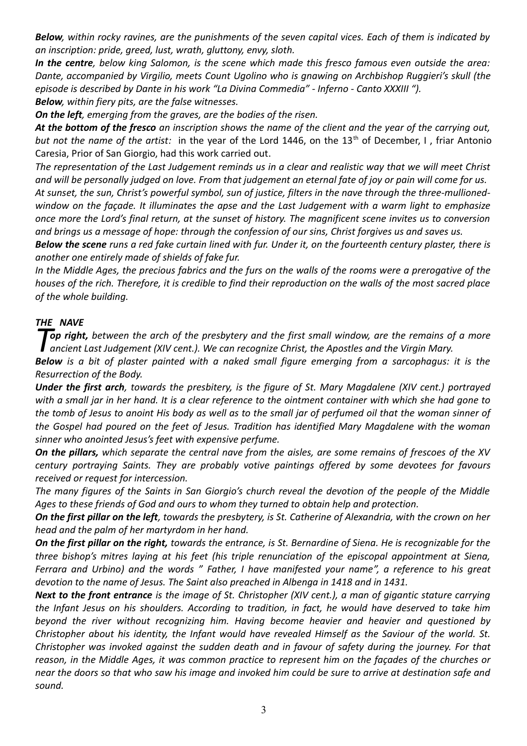*Below, within rocky ravines, are the punishments of the seven capital vices. Each of them is indicated by an inscription: pride, greed, lust, wrath, gluttony, envy, sloth.* 

*In the centre, below king Salomon, is the scene which made this fresco famous even outside the area: Dante, accompanied by Virgilio, meets Count Ugolino who is gnawing on Archbishop Ruggieri's skull (the episode is described by Dante in his work "La Divina Commedia" - Inferno - Canto XXXIII "). Below, within fiery pits, are the false witnesses.* 

*On the left, emerging from the graves, are the bodies of the risen.* 

*At the bottom of the fresco an inscription shows the name of the client and the year of the carrying out,* but not the name of the artist: in the year of the Lord 1446, on the 13<sup>th</sup> of December, I, friar Antonio Caresia, Prior of San Giorgio, had this work carried out.

*The representation of the Last Judgement reminds us in a clear and realistic way that we will meet Christ and will be personally judged on love. From that judgement an eternal fate of joy or pain will come for us. At sunset, the sun, Christ's powerful symbol, sun of justice, filters in the nave through the three-mullionedwindow on the façade. It illuminates the apse and the Last Judgement with a warm light to emphasize once more the Lord's final return, at the sunset of history. The magnificent scene invites us to conversion and brings us a message of hope: through the confession of our sins, Christ forgives us and saves us.* 

*Below the scene runs a red fake curtain lined with fur. Under it, on the fourteenth century plaster, there is another one entirely made of shields of fake fur.*

*In the Middle Ages, the precious fabrics and the furs on the walls of the rooms were a prerogative of the houses of the rich. Therefore, it is credible to find their reproduction on the walls of the most sacred place of the whole building.*

### *THE NAVE*

**Top right,** between the arch of the presbytery and the first small window, are the remains of a more ancient Last Judgement (XIV cent.). We can recognize Christ, the Apostles and the Virgin Mary.

*Below is a bit of plaster painted with a naked small figure emerging from a sarcophagus: it is the Resurrection of the Body.*

*Under the first arch, towards the presbitery, is the figure of St. Mary Magdalene (XIV cent.) portrayed with a small jar in her hand. It is a clear reference to the ointment container with which she had gone to the tomb of Jesus to anoint His body as well as to the small jar of perfumed oil that the woman sinner of the Gospel had poured on the feet of Jesus. Tradition has identified Mary Magdalene with the woman sinner who anointed Jesus's feet with expensive perfume.* 

*On the pillars, which separate the central nave from the aisles, are some remains of frescoes of the XV century portraying Saints. They are probably votive paintings offered by some devotees for favours received or request for intercession.*

*The many figures of the Saints in San Giorgio's church reveal the devotion of the people of the Middle Ages to these friends of God and ours to whom they turned to obtain help and protection.*

*On the first pillar on the left, towards the presbytery, is St. Catherine of Alexandria, with the crown on her head and the palm of her martyrdom in her hand.*

*On the first pillar on the right, towards the entrance, is St. Bernardine of Siena. He is recognizable for the three bishop's mitres laying at his feet (his triple renunciation of the episcopal appointment at Siena, Ferrara and Urbino) and the words " Father, I have manifested your name", a reference to his great devotion to the name of Jesus. The Saint also preached in Albenga in 1418 and in 1431.*

*Next to the front entrance is the image of St. Christopher (XIV cent.), a man of gigantic stature carrying the Infant Jesus on his shoulders. According to tradition, in fact, he would have deserved to take him beyond the river without recognizing him. Having become heavier and heavier and questioned by Christopher about his identity, the Infant would have revealed Himself as the Saviour of the world. St. Christopher was invoked against the sudden death and in favour of safety during the journey. For that reason, in the Middle Ages, it was common practice to represent him on the façades of the churches or near the doors so that who saw his image and invoked him could be sure to arrive at destination safe and sound.*